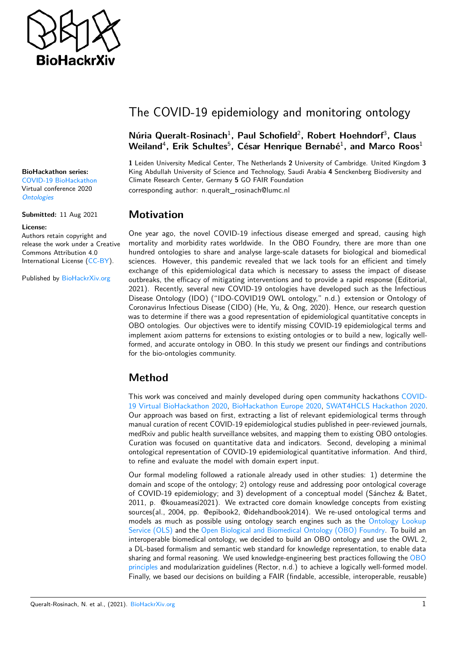

# The COVID-19 epidemiology and monitoring ontology

#### **Núria Queralt-Rosinach**<sup>1</sup> **, Paul Schofield**<sup>2</sup> **, Robert Hoehndorf**<sup>3</sup> **, Claus** Weiland<sup>4</sup>, Erik Schultes<sup>5</sup>, César Henrique Bernabé<sup>1</sup>, and Marco Roos<sup>1</sup>

**1** Leiden University Medical Center, The Netherlands **2** University of Cambridge. United Kingdom **3** King Abdullah University of Science and Technology, Saudi Arabia **4** Senckenberg Biodiversity and Climate Research Center, Germany **5** GO FAIR Foundation corresponding author: n.queralt\_rosinach@lumc.nl

#### **Motivation**

One year ago, the novel COVID-19 infectious disease emerged and spread, causing high mortality and morbidity rates worldwide. In the OBO Foundry, there are more than one hundred ontologies to share and analyse large-scale datasets for biological and biomedical sciences. However, this pandemic revealed that we lack tools for an efficient and timely exchange of this epidemiological data which is necessary to assess the impact of disease outbreaks, the efficacy of mitigating interventions and to provide a rapid response (Editorial, 2021). Recently, several new COVID-19 ontologies have developed such as the Infectious Disease Ontology (IDO) ("IDO-COVID19 OWL ontology," n.d.) extension or Ontology of Coronavirus Infectious Disease (CIDO) (He, Yu, & Ong, 2020). Hence, our research question was to determine if there was a good representation of epidemiological quantitative concepts in OBO ontologies. Our objectives were to identify missing COVID-19 epidemiological terms and implement axiom patterns for extensions to existing ontologies or to build a new, logically wellformed, and accurate ontology in OBO. In this study we present our findings and contributions for the bio-ontologies community.

## **Method**

This work was conceived and mainly developed during open community hackathons [COVID-](https://github.com/virtual-biohackathons/covid-19-bh20/)[19 Virtual BioHackathon 2020,](https://github.com/virtual-biohackathons/covid-19-bh20/) [BioHackathon Europe 2020,](https://github.com/elixir-europe/BioHackathon-projects-2020/tree/master/projects/30) [SWAT4HCLS Hackathon 2020.](https://swat4hcls.wiki.opencura.com/wiki/Main_Page#Title:_Adding_logical_structure_to_the_COVID-19_epidemiology_ontology) Our approach was based on first, extracting a list of relevant epidemiological terms through manual curation of recent COVID-19 epidemiological studies published in peer-reviewed journals, medRxiv and public health surveillance websites, and mapping them to existing OBO ontologies. Curation was focused on quantitative data and indicators. Second, developing a minimal ontological representation of COVID-19 epidemiological quantitative information. And third, to refine and evaluate the model with domain expert input.

Our formal modeling followed a rationale already used in other studies: 1) determine the domain and scope of the ontology; 2) ontology reuse and addressing poor ontological coverage of COVID-19 epidemiology; and 3) development of a conceptual model (Sánchez & Batet, 2011, p. @kouameasi2021). We extracted core domain knowledge concepts from existing sources(al., 2004, pp. @epibook2, @idehandbook2014). We re-used ontological terms and models as much as possible using ontology search engines such as the [Ontology Lookup](https://www.ebi.ac.uk/ols/index) [Service \(OLS\)](https://www.ebi.ac.uk/ols/index) and the [Open Biological and Biomedical Ontology \(OBO\) Foundry.](http://www.obofoundry.org/) To build an interoperable biomedical ontology, we decided to build an OBO ontology and use the OWL 2, a DL-based formalism and semantic web standard for knowledge representation, to enable data sharing and formal reasoning. We used knowledge-engineering best practices following the [OBO](http://www.obofoundry.org/principles/fp-000-summary.html) [principles](http://www.obofoundry.org/principles/fp-000-summary.html) and modularization guidelines (Rector, n.d.) to achieve a logically well-formed model. Finally, we based our decisions on building a FAIR (findable, accessible, interoperable, reusable)

#### **BioHackathon series:**

[COVID-19 BioHackathon](https://github.com/virtual-biohackathons/covid-19-bh20) Virtual conference 2020 **[Ontologies](https://github.com/ljgarcia/bhx-temp-template)** 

**Submitted:** 11 Aug 2021

#### **License:**

Authors retain copyright and release the work under a Creative Commons Attribution 4.0 International License [\(CC-BY\)](https://creativecommons.org/licenses/by/4.0/).

Published by [BioHackrXiv.org](http://biohackrxiv.org/)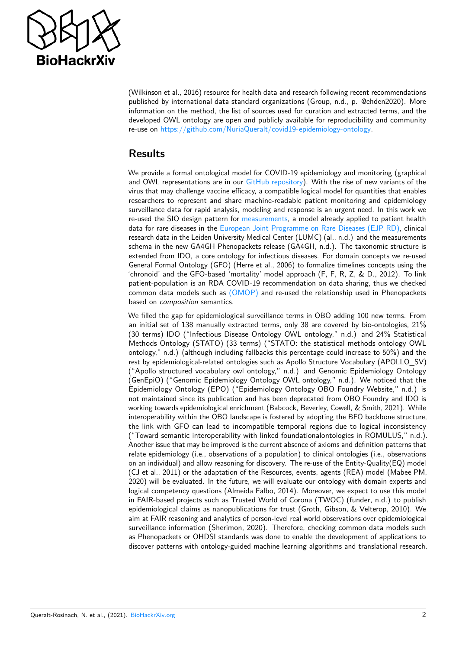

(Wilkinson et al., 2016) resource for health data and research following recent recommendations published by international data standard organizations (Group, n.d., p. @ehden2020). More information on the method, the list of sources used for curation and extracted terms, and the developed OWL ontology are open and publicly available for reproducibility and community re-use on [https://github.com/NuriaQueralt/covid19-epidemiology-ontology.](https://github.com/NuriaQueralt/covid19-epidemiology-ontology)

#### **Results**

We provide a formal ontological model for COVID-19 epidemiology and monitoring (graphical and OWL representations are in our [GitHub repository\)](https://github.com/NuriaQueralt/covid19-epidemiology-ontology). With the rise of new variants of the virus that may challenge vaccine efficacy, a compatible logical model for quantities that enables researchers to represent and share machine-readable patient monitoring and epidemiology surveillance data for rapid analysis, modeling and response is an urgent need. In this work we re-used the SIO design pattern for [measurements,](https://github.com/MaastrichtU-IDS/semanticscience/wiki/DP-Measurements) a model already applied to patient health data for rare diseases in the [European Joint Programme on Rare Diseases \(EJP RD\),](https://www.ejprarediseases.org/) clinical research data in the Leiden University Medical Center (LUMC) (al., n.d.) and the measurements schema in the new GA4GH Phenopackets release (GA4GH, n.d.). The taxonomic structure is extended from IDO, a core ontology for infectious diseases. For domain concepts we re-used General Formal Ontology (GFO) (Herre et al., 2006) to formalize timelines concepts using the 'chronoid' and the GFO-based 'mortality' model approach (F, F, R, Z, & D., 2012). To link patient-population is an RDA COVID-19 recommendation on data sharing, thus we checked common data models such as [\(OMOP\)](https://www.ohdsi.org/data-standardization/the-common-data-model/) and re-used the relationship used in Phenopackets based on composition semantics.

We filled the gap for epidemiological surveillance terms in OBO adding 100 new terms. From an initial set of 138 manually extracted terms, only 38 are covered by bio-ontologies, 21% (30 terms) IDO ("Infectious Disease Ontology OWL ontology," n.d.) and 24% Statistical Methods Ontology (STATO) (33 terms) ("STATO: the statistical methods ontology OWL ontology," n.d.) (although including fallbacks this percentage could increase to 50%) and the rest by epidemiological-related ontologies such as Apollo Structure Vocabulary (APOLLO\_SV) ("Apollo structured vocabulary owl ontology," n.d.) and Genomic Epidemiology Ontology (GenEpiO) ("Genomic Epidemiology Ontology OWL ontology," n.d.). We noticed that the Epidemiology Ontology (EPO) ("Epidemiology Ontology OBO Foundry Website," n.d.) is not maintained since its publication and has been deprecated from OBO Foundry and IDO is working towards epidemiological enrichment (Babcock, Beverley, Cowell, & Smith, 2021). While interoperability within the OBO landscape is fostered by adopting the BFO backbone structure, the link with GFO can lead to incompatible temporal regions due to logical inconsistency ("Toward semantic interoperability with linked foundationalontologies in ROMULUS," n.d.). Another issue that may be improved is the current absence of axioms and definition patterns that relate epidemiology (i.e., observations of a population) to clinical ontologies (i.e., observations on an individual) and allow reasoning for discovery. The re-use of the Entity-Quality(EQ) model (CJ et al., 2011) or the adaptation of the Resources, events, agents (REA) model (Mabee PM, 2020) will be evaluated. In the future, we will evaluate our ontology with domain experts and logical competency questions (Almeida Falbo, 2014). Moreover, we expect to use this model in FAIR-based projects such as Trusted World of Corona (TWOC) (funder, n.d.) to publish epidemiological claims as nanopublications for trust (Groth, Gibson, & Velterop, 2010). We aim at FAIR reasoning and analytics of person-level real world observations over epidemiological surveillance information (Sherimon, 2020). Therefore, checking common data models such as Phenopackets or OHDSI standards was done to enable the development of applications to discover patterns with ontology-guided machine learning algorithms and translational research.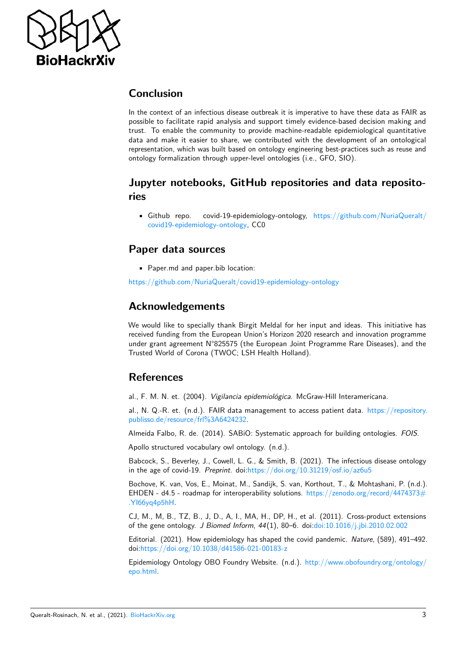

### **Conclusion**

In the context of an infectious disease outbreak it is imperative to have these data as FAIR as possible to facilitate rapid analysis and support timely evidence-based decision making and trust. To enable the community to provide machine-readable epidemiological quantitative data and make it easier to share, we contributed with the development of an ontological representation, which was built based on ontology engineering best-practices such as reuse and ontology formalization through upper-level ontologies (i.e., GFO, SIO).

### **Jupyter notebooks, GitHub repositories and data repositories**

• Github repo. covid-19-epidemiology-ontology, [https://github.com/NuriaQueralt/](https://github.com/NuriaQueralt/covid19-epidemiology-ontology) [covid19-epidemiology-ontology,](https://github.com/NuriaQueralt/covid19-epidemiology-ontology) CC0

#### **Paper data sources**

• Paper.md and paper.bib location:

<https://github.com/NuriaQueralt/covid19-epidemiology-ontology>

#### **Acknowledgements**

We would like to specially thank Birgit Meldal for her input and ideas. This initiative has received funding from the European Union's Horizon 2020 research and innovation programme under grant agreement N°825575 (the European Joint Programme Rare Diseases), and the Trusted World of Corona (TWOC; LSH Health Holland).

#### **References**

al., F. M. N. et. (2004). Vigilancia epidemiológica. McGraw-Hill Interamericana.

al., N. Q.-R. et. (n.d.). FAIR data management to access patient data. [https://repository.](https://repository.publisso.de/resource/frl%3A6424232) [publisso.de/resource/frl%3A6424232.](https://repository.publisso.de/resource/frl%3A6424232)

Almeida Falbo, R. de. (2014). SABiO: Systematic approach for building ontologies. FOIS.

Apollo structured vocabulary owl ontology. (n.d.).

Babcock, S., Beverley, J., Cowell, L. G., & Smith, B. (2021). The infectious disease ontology in the age of covid-19. Preprint. doi[:https://doi.org/10.31219/osf.io/az6u5](https://doi.org/https://doi.org/10.31219/osf.io/az6u5)

Bochove, K. van, Vos, E., Moinat, M., Sandijk, S. van, Korthout, T., & Mohtashani, P. (n.d.). EHDEN - d4.5 - roadmap for interoperability solutions. [https://zenodo.org/record/4474373#](https://zenodo.org/record/4474373#.YI66yq4p5hH) [.YI66yq4p5hH.](https://zenodo.org/record/4474373#.YI66yq4p5hH)

CJ, M., M, B., TZ, B., J, D., A, I., MA, H., DP, H., et al. (2011). Cross-product extensions of the gene ontology. J Biomed Inform, 44(1), 80–6. doi[:doi:10.1016/j.jbi.2010.02.002](https://doi.org/doi:%2010.1016/j.jbi.2010.02.002)

Editorial. (2021). How epidemiology has shaped the covid pandemic. Nature, (589), 491–492. doi[:https://doi.org/10.1038/d41586-021-00183-z](https://doi.org/https://doi.org/10.1038/d41586-021-00183-z)

Epidemiology Ontology OBO Foundry Website. (n.d.). [http://www.obofoundry.org/ontology/](http://www.obofoundry.org/ontology/epo.html) [epo.html.](http://www.obofoundry.org/ontology/epo.html)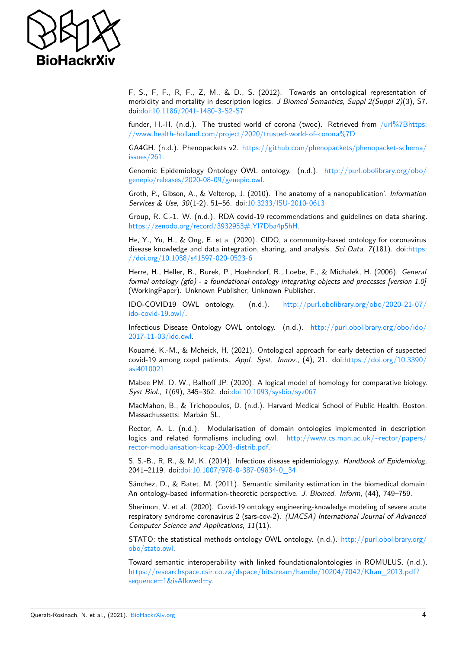

F, S., F, F., R, F., Z, M., & D., S. (2012). Towards an ontological representation of morbidity and mortality in description logics. J Biomed Semantics, Suppl 2(Suppl 2)(3), S7. doi[:doi:10.1186/2041-1480-3-S2-S7](https://doi.org/doi:10.1186/2041-1480-3-S2-S7)

funder, H.-H. (n.d.). The trusted world of corona (twoc). Retrieved from [/url%7Bhttps:](/url%7Bhttps://www.health-holland.com/project/2020/trusted-world-of-corona%7D) [//www.health-holland.com/project/2020/trusted-world-of-corona%7D](/url%7Bhttps://www.health-holland.com/project/2020/trusted-world-of-corona%7D)

GA4GH. (n.d.). Phenopackets v2. [https://github.com/phenopackets/phenopacket-schema/](https://github.com/phenopackets/phenopacket-schema/issues/261) [issues/261.](https://github.com/phenopackets/phenopacket-schema/issues/261)

Genomic Epidemiology Ontology OWL ontology. (n.d.). [http://purl.obolibrary.org/obo/](http://purl.obolibrary.org/obo/genepio/releases/2020-08-09/genepio.owl) [genepio/releases/2020-08-09/genepio.owl.](http://purl.obolibrary.org/obo/genepio/releases/2020-08-09/genepio.owl)

Groth, P., Gibson, A., & Velterop, J. (2010). The anatomy of a nanopublication'. Information Services & Use, 30(1-2), 51–56. doi[:10.3233/ISU-2010-0613](https://doi.org/10.3233/ISU-2010-0613)

Group, R. C.-1. W. (n.d.). RDA covid-19 recommendations and guidelines on data sharing. [https://zenodo.org/record/3932953#.YI7Dba4p5hH.](https://zenodo.org/record/3932953#.YI7Dba4p5hH)

He, Y., Yu, H., & Ong, E. et a. (2020). CIDO, a community-based ontology for coronavirus disease knowledge and data integration, sharing, and analysis. Sci Data, 7(181). doi[:https:](https://doi.org/https://doi.org/10.1038/s41597-020-0523-6) [//doi.org/10.1038/s41597-020-0523-6](https://doi.org/https://doi.org/10.1038/s41597-020-0523-6)

Herre, H., Heller, B., Burek, P., Hoehndorf, R., Loebe, F., & Michalek, H. (2006). General formal ontology (gfo) - a foundational ontology integrating objects and processes [version 1.0] (WorkingPaper). Unknown Publisher; Unknown Publisher.

IDO-COVID19 OWL ontology. (n.d.). [http://purl.obolibrary.org/obo/2020-21-07/](http://purl.obolibrary.org/obo/2020-21-07/ido-covid-19.owl/) [ido-covid-19.owl/.](http://purl.obolibrary.org/obo/2020-21-07/ido-covid-19.owl/)

Infectious Disease Ontology OWL ontology. (n.d.). [http://purl.obolibrary.org/obo/ido/](http://purl.obolibrary.org/obo/ido/2017-11-03/ido.owl) [2017-11-03/ido.owl.](http://purl.obolibrary.org/obo/ido/2017-11-03/ido.owl)

Kouamé, K.-M., & Mcheick, H. (2021). Ontological approach for early detection of suspected covid-19 among copd patients. Appl. Syst. Innov., (4), 21. doi[:https://doi.org/10.3390/](https://doi.org/https://doi.org/10.3390/asi4010021) [asi4010021](https://doi.org/https://doi.org/10.3390/asi4010021)

Mabee PM, D. W., Balhoff JP. (2020). A logical model of homology for comparative biology. Syst Biol., 1(69), 345–362. doi[:doi:10.1093/sysbio/syz067](https://doi.org/doi:%2010.1093/sysbio/syz067)

MacMahon, B., & Trichopoulos, D. (n.d.). Harvard Medical School of Public Health, Boston, Massachussetts: Marbán SL.

Rector, A. L. (n.d.). Modularisation of domain ontologies implemented in description logics and related formalisms including owl. [http://www.cs.man.ac.uk/~rector/papers/](http://www.cs.man.ac.uk/~rector/papers/rector-modularisation-kcap-2003-distrib.pdf) [rector-modularisation-kcap-2003-distrib.pdf.](http://www.cs.man.ac.uk/~rector/papers/rector-modularisation-kcap-2003-distrib.pdf)

S, S.-B., R, R., & M, K. (2014). Infectious disease epidemiology.y. Handbook of Epidemiolog, 2041–2119. doi[:doi:10.1007/978-0-387-09834-0\\_34](https://doi.org/doi:10.1007/978-0-387-09834-0_34)

Sánchez, D., & Batet, M. (2011). Semantic similarity estimation in the biomedical domain: An ontology-based information-theoretic perspective. J. Biomed. Inform, (44), 749-759.

Sherimon, V. et al. (2020). Covid-19 ontology engineering-knowledge modeling of severe acute respiratory syndrome coronavirus 2 (sars-cov-2). (IJACSA) International Journal of Advanced Computer Science and Applications, 11(11).

STATO: the statistical methods ontology OWL ontology.  $(n.d.)$ . [http://purl.obolibrary.org/](http://purl.obolibrary.org/obo/stato.owl) [obo/stato.owl.](http://purl.obolibrary.org/obo/stato.owl)

Toward semantic interoperability with linked foundationalontologies in ROMULUS. (n.d.). [https://researchspace.csir.co.za/dspace/bitstream/handle/10204/7042/Khan\\_2013.pdf?](https://researchspace.csir.co.za/dspace/bitstream/handle/10204/7042/Khan_2013.pdf?sequence=1&isAllowed=y) [sequence=1&isAllowed=y.](https://researchspace.csir.co.za/dspace/bitstream/handle/10204/7042/Khan_2013.pdf?sequence=1&isAllowed=y)